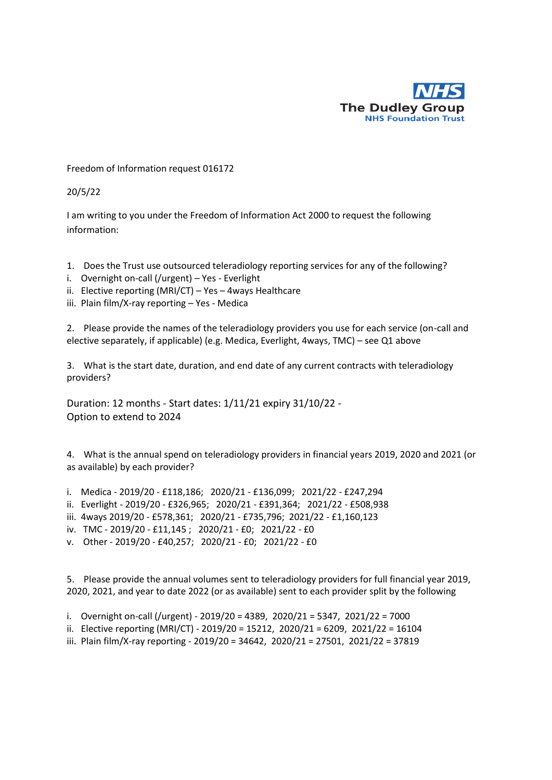

Freedom of Information request 016172

20/5/22

I am writing to you under the Freedom of Information Act 2000 to request the following information:

- 1. Does the Trust use outsourced teleradiology reporting services for any of the following?
- i. Overnight on-call (/urgent) Yes Everlight
- ii. Elective reporting (MRI/CT) Yes 4ways Healthcare
- iii. Plain film/X-ray reporting Yes Medica

2. Please provide the names of the teleradiology providers you use for each service (on-call and elective separately, if applicable) (e.g. Medica, Everlight, 4ways, TMC) – see Q1 above

3. What is the start date, duration, and end date of any current contracts with teleradiology providers?

Duration: 12 months - Start dates: 1/11/21 expiry 31/10/22 - Option to extend to 2024

4. What is the annual spend on teleradiology providers in financial years 2019, 2020 and 2021 (or as available) by each provider?

- i. Medica 2019/20 £118,186; 2020/21 £136,099; 2021/22 £247,294
- ii. Everlight 2019/20 £326,965; 2020/21 £391,364; 2021/22 £508,938
- iii. 4ways 2019/20 £578,361; 2020/21 £735,796; 2021/22 £1,160,123
- iv. TMC 2019/20 £11,145 ; 2020/21 £0; 2021/22 £0
- v. Other 2019/20 £40,257; 2020/21 £0; 2021/22 £0

5. Please provide the annual volumes sent to teleradiology providers for full financial year 2019, 2020, 2021, and year to date 2022 (or as available) sent to each provider split by the following

- i. Overnight on-call (/urgent) 2019/20 = 4389, 2020/21 = 5347, 2021/22 = 7000
- ii. Elective reporting (MRI/CT) 2019/20 = 15212, 2020/21 = 6209, 2021/22 = 16104
- iii. Plain film/X-ray reporting 2019/20 = 34642, 2020/21 = 27501, 2021/22 = 37819